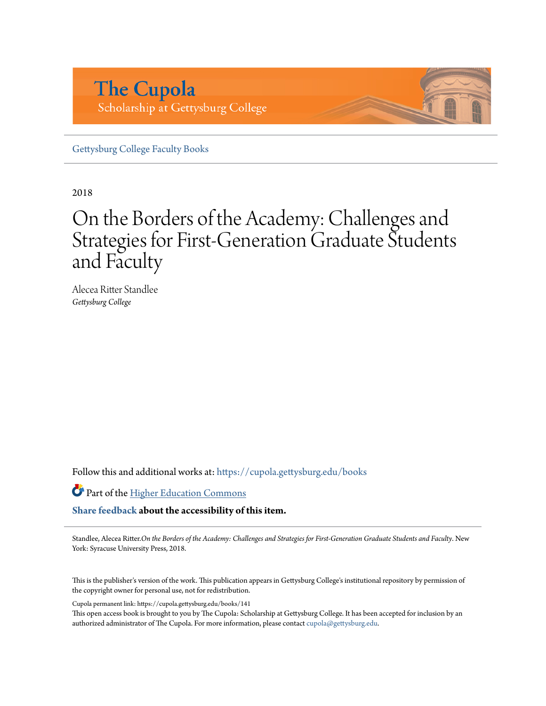## **The Cupola** Scholarship at Gettysburg College

[Gettysburg College Faculty Books](https://cupola.gettysburg.edu/books?utm_source=cupola.gettysburg.edu%2Fbooks%2F141&utm_medium=PDF&utm_campaign=PDFCoverPages)

2018

# On the Borders of the Academy: Challenges and Strategies for First-Generation Graduate Students and Faculty

Alecea Ritter Standlee *Gettysburg College*

Follow this and additional works at: [https://cupola.gettysburg.edu/books](https://cupola.gettysburg.edu/books?utm_source=cupola.gettysburg.edu%2Fbooks%2F141&utm_medium=PDF&utm_campaign=PDFCoverPages)

Part of the [Higher Education Commons](http://network.bepress.com/hgg/discipline/1245?utm_source=cupola.gettysburg.edu%2Fbooks%2F141&utm_medium=PDF&utm_campaign=PDFCoverPages)

**[Share feedback](https://docs.google.com/a/bepress.com/forms/d/1h9eEcpBPj5POs5oO6Y5A0blXRmZqykoonyYiZUNyEq8/viewform) about the accessibility of this item.**

Standlee, Alecea Ritter.*On the Borders of the Academy: Challenges and Strategies for First-Generation Graduate Students and Faculty*. New York: Syracuse University Press, 2018.

This is the publisher's version of the work. This publication appears in Gettysburg College's institutional repository by permission of the copyright owner for personal use, not for redistribution.

Cupola permanent link: https://cupola.gettysburg.edu/books/141

This open access book is brought to you by The Cupola: Scholarship at Gettysburg College. It has been accepted for inclusion by an authorized administrator of The Cupola. For more information, please contact [cupola@gettysburg.edu.](mailto:cupola@gettysburg.edu)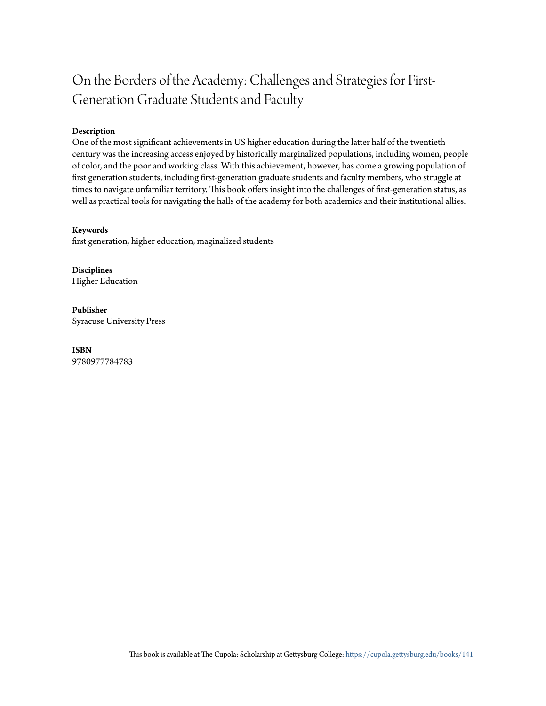## On the Borders of the Academy: Challenges and Strategies for First-Generation Graduate Students and Faculty

#### **Description**

One of the most significant achievements in US higher education during the latter half of the twentieth century was the increasing access enjoyed by historically marginalized populations, including women, people of color, and the poor and working class. With this achievement, however, has come a growing population of first generation students, including first-generation graduate students and faculty members, who struggle at times to navigate unfamiliar territory. This book offers insight into the challenges of first-generation status, as well as practical tools for navigating the halls of the academy for both academics and their institutional allies.

**Keywords** first generation, higher education, maginalized students

**Disciplines** Higher Education

**Publisher** Syracuse University Press

**ISBN** 9780977784783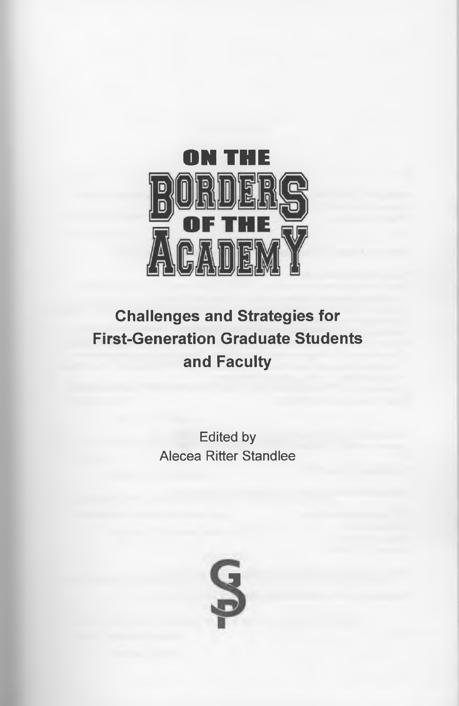

### **Challenges and Strategies for First-Generation Graduate Students and Faculty**

Edited by Alecea Ritter Standlee

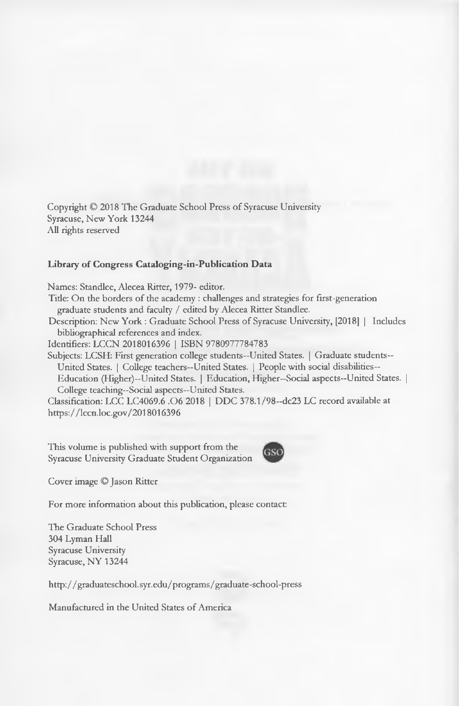Copyright © 2018 The Graduate School Press of Syracuse University Syracuse, New York 13244 All rights reserved

#### **Library ofCongress Cataloging-in-Publication Data**

Names: Standlee, Alecea Ritter, 1979- editor.

Title: On the borders of the academy : challenges and strategies for first-generation graduate students and faculty *I* edited by Alecea Ritter Standlee.

Description: New York : Graduate School Press of Syracuse University, [2018] <sup>|</sup> Includes bibliographical references and index.

Identifiers: LCCN 2018016396 <sup>|</sup> ISBN 9780977784783

Subjects: LCSH: First generation college students—United States. <sup>|</sup> Graduate students— United States. | College teachers--United States. | People with social disabilities--Education (Higher)--United States. | Education, Higher--Social aspects--United States. | College teaching—Social aspects—United States.

Classification: LCC LC4069.6 .06 2018 <sup>|</sup> DDC 378.1/98—dc23 LC record available at <https://lccn.loc.gov/2018016396>

This volume is published with support from the Syracuse University Graduate Student Organization



Cover image © Jason Ritter

For more information about this publication, please contact:

The Graduate School Press 304 Lyman Hall Syracuse University Syracuse, NY 13244

<http://graduateschool.syr.edu/programs/graduate-school-press>

Manufactured in the United States of America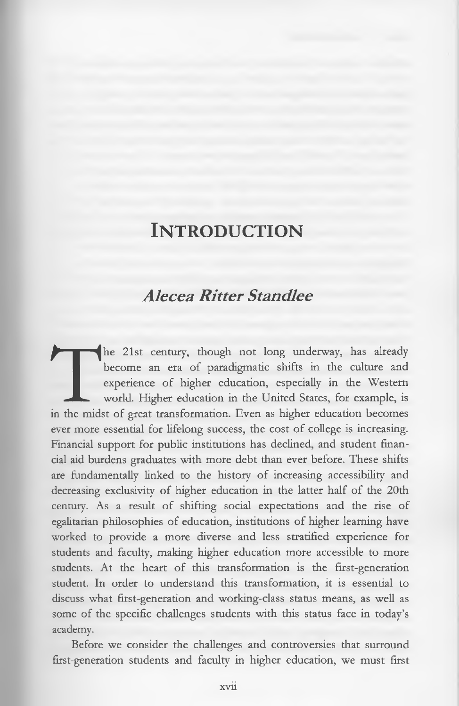### **INTRODUCTION**

### *Alccca Ritter Standlee*

The 21st century, though not long underway, has already<br>become an era of paradigmatic shifts in the culture and<br>experience of higher education, especially in the Western<br>world. Higher education in the United States, for ex he 21st century, though not long underway, has already become an era of paradigmatic shifts in the culture and experience of higher education, especially in the Western world. Higher education in the United States, for example, is in the midst of great transformation. Even as higher education becomes Financial support for public institutions has declined, and student financial aid burdens graduates with more debt than ever before. These shifts are fundamentally linked to the history of increasing accessibility and decreasing exclusivity of higher education in the latter half of the 20th century. As a result of shifting social expectations and the rise of egalitarian philosophies of education, institutions of higher learning have worked to provide a more diverse and less stratified experience for students and faculty, making higher education more accessible to more students. At the heart of this transformation is the first-generation student. In order to understand this transformation, it is essential to discuss what first-generation and working-class status means, as well as some of the specific challenges students with this status face in today's academy.

Before we consider the challenges and controversies that surround first-generation students and faculty in higher education, we must first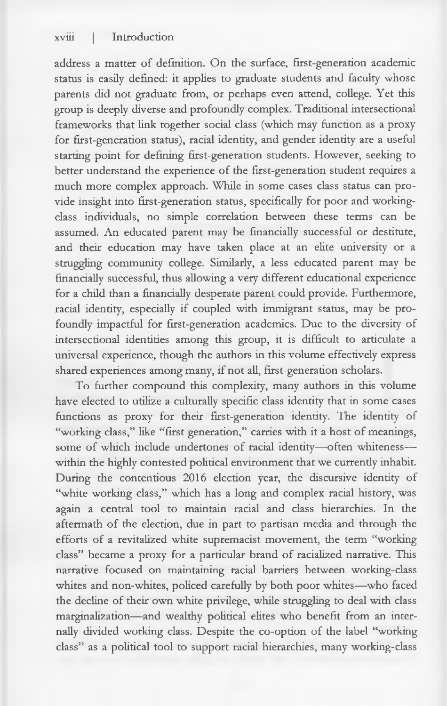#### xviii <sup>|</sup> Introduction

address a matter of definition. On the surface, first-generation academic status is easily defined: it applies to graduate students and faculty whose parents did not graduate from, or perhaps even attend, college. Yet this group is deeply diverse and profoundly complex. Traditional intersectional frameworks that link together social class (which may function as a proxy for first-generation status), racial identity, and gender identity are a useful starting point for defining first-generation students. However, seeking to better understand the experience of the first-generation student requires a much more complex approach. While in some cases class status can provide insight into first-generation status, specifically for poor and workingclass individuals, no simple correlation between these terms can be assumed. An educated parent may be financially successful or destitute, and their education may have taken place at an elite university or a struggling community college. Similarly, a less educated parent may be financially successful, thus allowing a very different educational experience for a child than a financially desperate parent could provide. Furthermore, racial identity, especially if coupled with immigrant status, may be profoundly impactful for first-generation academics. Due to the diversity of intersectional identities among this group, it is difficult to articulate a universal experience, though the authors in this volume effectively express shared experiences among many, if not all, first-generation scholars.

To further compound this complexity, many authors in this volume have elected to utilize a culturally specific class identity that in some cases functions as proxy for their first-generation identity. The identity of "working class," like "first generation," carries with it a host of meanings, some of which include undertones of racial identity—often whiteness within the highly contested political environment that we currendy inhabit. During the contentious 2016 election year, the discursive identity of "white working class," which has a long and complex racial history, was again a central tool to maintain racial and class hierarchies. In the aftermath of the election, due in part to partisan media and through the efforts of a revitalized white supremacist movement, the term "working class" became a proxy for a particular brand of racialized narrative. This narrative focused on maintaining racial barriers between working-class whites and non-whites, policed carefully by both poor whites—who faced the decline of their own white privilege, while struggling to deal with class marginalization—and wealthy political elites who benefit from an internally divided working class. Despite the co-option of the label "working class" as a political tool to support racial hierarchies, many working-class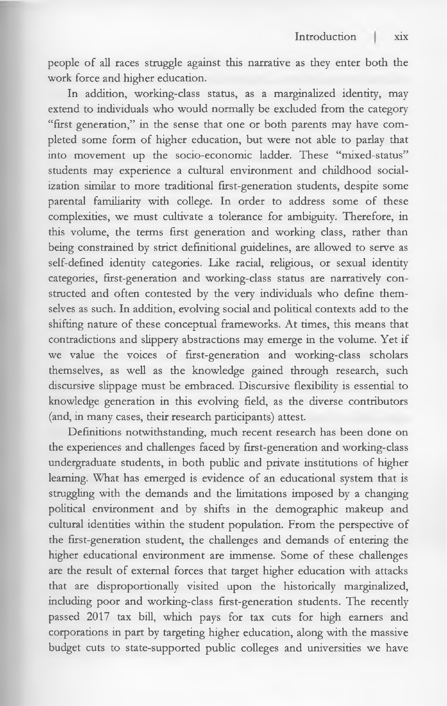people of all races struggle against this narrative as they enter both the work force and higher education.

In addition, working-class status, as a marginalized identity, may extend to individuals who would normally be excluded from the category "first generation," in the sense that one or both parents may have completed some form of higher education, but were not able to parlay that into movement up the socio-economic ladder. These "mixed-status" students may experience a cultural environment and childhood socialization similar to more traditional first-generation students, despite some parental familiarity with college. In order to address some of these complexities, we must cultivate a tolerance for ambiguity. Therefore, in this volume, the terms first generation and working class, rather than being constrained by strict definitional guidelines, are allowed to serve as self-defined identity categories. Like racial, religious, or sexual identity categories, first-generation and working-class status are narratively constructed and often contested by the very individuals who define themselves as such. In addition, evolving social and political contexts add to the shifting nature of these conceptual frameworks. At times, this means that contradictions and slippery abstractions may emerge in the volume. Yet if we value the voices of first-generation and working-class scholars themselves, as well as the knowledge gained through research, such discursive slippage must be embraced. Discursive flexibility is essential to knowledge generation in this evolving field, as the diverse contributors (and, in many cases, their research participants) attest.

Definitions notwithstanding, much recent research has been done on the experiences and challenges faced by first-generation and working-class undergraduate students, in both public and private institutions of higher learning. What has emerged is evidence of an educational system that is struggling with the demands and the limitations imposed by a changing political environment and by shifts in the demographic makeup and cultural identities within the student population. From the perspective of the first-generation student, the challenges and demands of entering the higher educational environment are immense. Some of these challenges are the result of external forces that target higher education with attacks that are disproportionally visited upon the historically marginalized, including poor and working-class first-generation students. The recently passed 2017 tax bill, which pays for tax cuts for high earners and corporations in part by targeting higher education, along with the massive budget cuts to state-supported public colleges and universities we have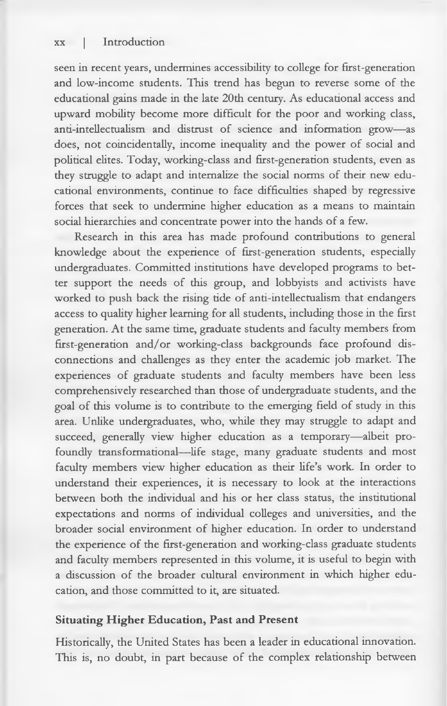seen in recent years, undermines accessibility to college for first-generation and low-income students. This trend has begun to reverse some of the educational gains made in the late 20th century. As educational access and upward mobility become more difficult for the poor and working class, anti-intellectualism and distrust of science and information grow—as does, not coincidentally, income inequality and the power of social and political elites. Today, working-class and first-generation students, even as they struggle to adapt and internalize the social norms of their new educational environments, continue to face difficulties shaped by regressive forces that seek to undermine higher education as a means to maintain social hierarchies and concentrate power into the hands of a few.

Research in this area has made profound contributions to general knowledge about the experience of first-generation students, especially undergraduates. Committed institutions have developed programs to better support the needs of this group, and lobbyists and activists have worked to push back the rising tide of anti-intellectualism that endangers access to quality higher learning for all students, including those in the first generation. At the same time, graduate students and faculty members from first-generation and/or working-class backgrounds face profound disconnections and challenges as they enter the academic job market. The experiences of graduate students and faculty members have been less comprehensively researched than those of undergraduate students, and the goal of this volume is to contribute to the emerging field of study in this area. Unlike undergraduates, who, while they may struggle to adapt and succeed, generally view higher education as a temporary—albeit profoundly transformational—life stage, many graduate students and most faculty members view higher education as their life's work. In order to understand their experiences, it is necessary to look at the interactions between both the individual and his or her class status, the institutional expectations and norms of individual colleges and universities, and the broader social environment of higher education. In order to understand the experience of the first-generation and working-class graduate students and faculty members represented in this volume, it is useful to begin with a discussion of the broader cultural environment in which higher education, and those committed to it, are situated.

#### **Situating Higher Education, Past and Present**

Historically, the United States has been a leader in educational innovation. This is, no doubt, in part because of the complex relationship between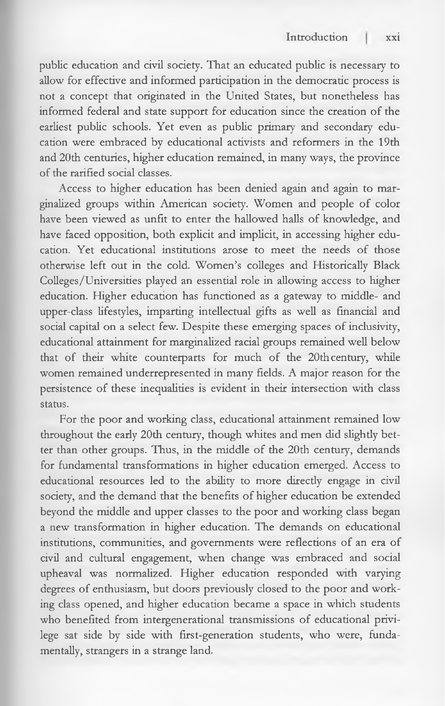public education and civil society. That an educated public is necessary to allow for effective and informed participation in the democratic process is not a concept that originated in the United States, but nonetheless has informed federal and state support for education since the creation of the earliest public schools. Yet even as public primary and secondary education were embraced by educational activists and reformers in the 19th and 20th centuries, higher education remained, in many ways, the province ofthe ratified social classes.

Access to higher education has been denied again and again to marginalized groups within American society. Women and people of color have been viewed as unfit to enter the hallowed halls of knowledge, and have faced opposition, both explicit and implicit, in accessing higher education. Yet educational institutions arose to meet the needs of those otherwise left out in the cold. Women's colleges and Historically Black Colleges/Universities played an essential role in allowing access to higher education. Higher education has functioned as a gateway to middle- and upper-class lifestyles, imparting intellectual gifts as well as financial and social capital on a select few. Despite these emerging spaces of inclusivity, educational attainment for marginalized racial groups remained well below that of their white counterparts for much of the 20thcentury, while women remained underrepresented in many fields. A major reason for the persistence of these inequalities is evident in their intersection with class status.

For the poor and working class, educational attainment remained low throughout the early 20th century, though whites and men did slightly better than other groups. Thus, in the middle of the 20th century, demands for fundamental transformations in higher education emerged. Access to educational resources led to the ability to more directly engage in civil society, and the demand that the benefits of higher education be extended beyond the middle and upper classes to the poor and working class began a new transformation in higher education. The demands on educational institutions, communities, and governments were reflections of an era of civil and cultural engagement, when change was embraced and social upheaval was normalized. Higher education responded with varying degrees of enthusiasm, but doors previously closed to the poor and working class opened, and higher education became a space in which students who benefited from intergenerational transmissions of educational privilege sat side by side with first-generation students, who were, fundamentally, strangers in a strange land.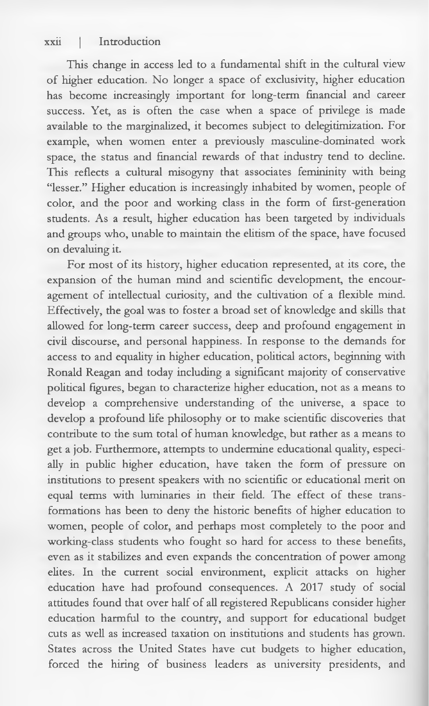#### xxii <sup>|</sup> Introduction

This change in access led to a fundamental shift in the cultural view of higher education. No longer a space of exclusivity, higher education has become increasingly important for long-term financial and career success. Yet, as is often the case when a space of privilege is made available to the marginalized, it becomes subject to delegitimization. For example, when women enter a previously masculine-dominated work space, the status and financial rewards of that industry tend to decline. This reflects a cultural misogyny that associates femininity with being "lesser." Higher education is increasingly inhabited by women, people of color, and the poor and working class in the form of first-generation students. As a result, higher education has been targeted by individuals and groups who, unable to maintain the elitism of the space, have focused on devaluing it.

For most of its history, higher education represented, at its core, the expansion of the human mind and scientific development, the encouragement of intellectual curiosity, and the cultivation of a flexible mind. Effectively, the goal was to foster a broad set of knowledge and skills that allowed for long-term career success, deep and profound engagement in civil discourse, and personal happiness. In response to the demands for access to and equality in higher education, political actors, beginning with Ronald Reagan and today including a significant majority of conservative political figures, began to characterize higher education, not as a means to develop a comprehensive understanding of the universe, a space to develop a profound life philosophy or to make scientific discoveries that contribute to the sum total of human knowledge, but rather as a means to get a job. Furthermore, attempts to undermine educational quality, especially in public higher education, have taken the form of pressure on institutions to present speakers with no scientific or educational merit on equal terms with luminaries in their field. The effect of these transformations has been to deny the historic benefits of higher education to women, people of color, and perhaps most completely to the poor and working-class students who fought so hard for access to these benefits, even as it stabilizes and even expands the concentration of power among elites. In the current social environment, explicit attacks on higher education have had profound consequences. A 2017 study of social attitudes found that over half of all registered Republicans consider higher education harmful to the country, and support for educational budget cuts as well as increased taxation on institutions and students has grown. States across the United States have cut budgets to higher education, forced the hiring of business leaders as university presidents, and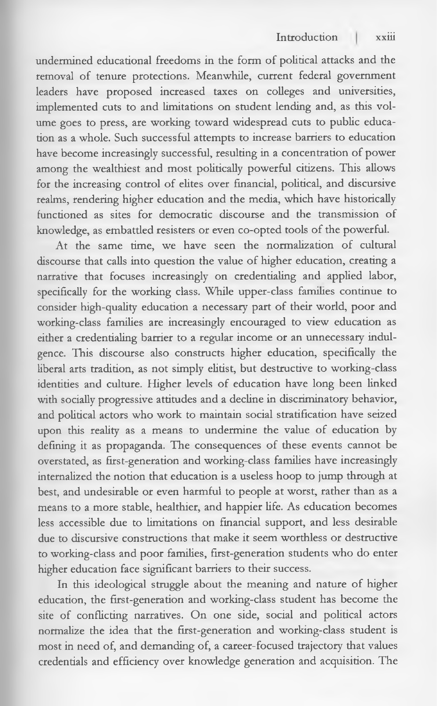undermined educational freedoms in the form of political attacks and the removal of tenure protections. Meanwhile, current federal government leaders have proposed increased taxes on colleges and universities, implemented cuts to and limitations on student lending and, as this volume goes to press, are working toward widespread cuts to public education as a whole. Such successful attempts to increase barriers to education have become increasingly successful, resulting in a concentration of power among the wealthiest and most politically powerful citizens. This allows for the increasing control of elites over financial, political, and discursive realms, rendering higher education and the media, which have historically functioned as sites for democratic discourse and the transmission of knowledge, as embattled resisters or even co-opted tools of the powerful.

At the same time, we have seen the normalization of cultural discourse that calls into question the value of higher education, creating a narrative that focuses increasingly on credentialing and applied labor, specifically for the working class. While upper-class families continue to consider high-quality education a necessary part of their world, poor and working-class families are increasingly encouraged to view education as either a credentialing barrier to a regular income or an unnecessary indulgence. This discourse also constructs higher education, specifically the liberal arts tradition, as not simply elitist, but destructive to working-class identities and culture. Higher levels of education have long been linked with socially progressive attitudes and a decline in discriminatory behavior, and political actors who work to maintain social stratification have seized upon this reality as a means to undermine the value of education by defining it as propaganda. The consequences of these events cannot be overstated, as first-generation and working-class families have increasingly internalized the notion that education is a useless hoop to jump through at best, and undesirable or even harmful to people at worst, rather than as a means to a more stable, healthier, and happier life. As education becomes less accessible due to limitations on financial support, and less desirable due to discursive constructions that make it seem worthless or destructive to working-class and poor families, first-generation students who do enter higher education face significant barriers to their success.

In this ideological struggle about the meaning and nature of higher education, the first-generation and working-class student has become the site of conflicting narratives. On one side, social and political actors normalize the idea that the first-generation and working-class student is most in need of, and demanding of, a career-focused trajectory that values credentials and efficiency over knowledge generation and acquisition. The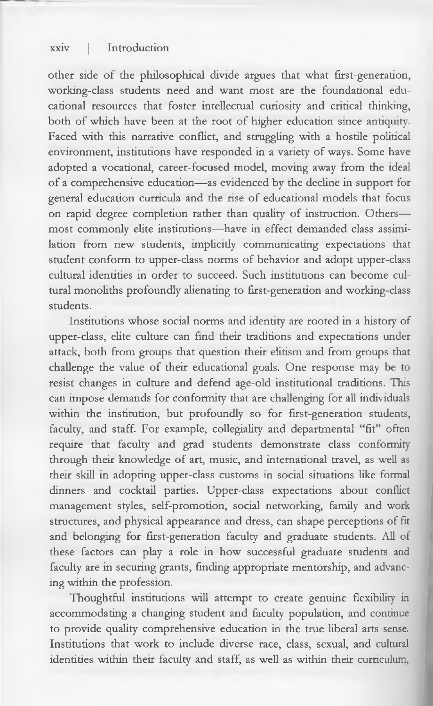#### xxiv <sup>|</sup> Introduction

other side of the philosophical divide argues that what first-generation, working-class students need and want most are the foundational educational resources that foster intellectual curiosity and critical thinking, both of which have been at the root of higher education since antiquity. Faced with this narrative conflict, and struggling with a hostile political environment, institutions have responded in a variety of ways. Some have adopted a vocational, career-focused model, moving away from the ideal of a comprehensive education—as evidenced by the decline in support for general education curricula and the rise of educational models that focus on rapid degree completion rather than quality of instruction. Others most commonly elite institutions—have in effect demanded class assimilation from new students, implicitly communicating expectations that student conform to upper-class norms of behavior and adopt upper-class cultural identities in order to succeed. Such institutions can become cultural monoliths profoundly alienating to first-generation and working-class students.

Institutions whose social norms and identity are rooted in a history of upper-class, elite culture can find their traditions and expectations under attack, both from groups that question their elitism and from groups that challenge the value of their educational goals. One response may be to resist changes in culture and defend age-old institutional traditions. This can impose demands for conformity that are challenging for all individuals within the institution, but profoundly so for first-generation students, faculty, and staff. For example, collegiality and departmental "fit" often require that faculty and grad students demonstrate class conformity through their knowledge of art, music, and international travel, as well as their skill in adopting upper-class customs in social situations like formal dinners and cocktail parties. Upper-class expectations about conflict management styles, self-promotion, social networking, family and work structures, and physical appearance and dress, can shape perceptions of fit and belonging for first-generation faculty and graduate students. All of these factors can play a role in how successful graduate students and faculty are in securing grants, finding appropriate mentorship, and advancing within the profession.

Thoughtful institutions will attempt to create genuine flexibility in accommodating a changing student and faculty population, and continue to provide quality comprehensive education in the true liberal arts sense. Institutions that work to include diverse race, class, sexual, and cultural identities within their faculty and staff, as well as within their curriculum,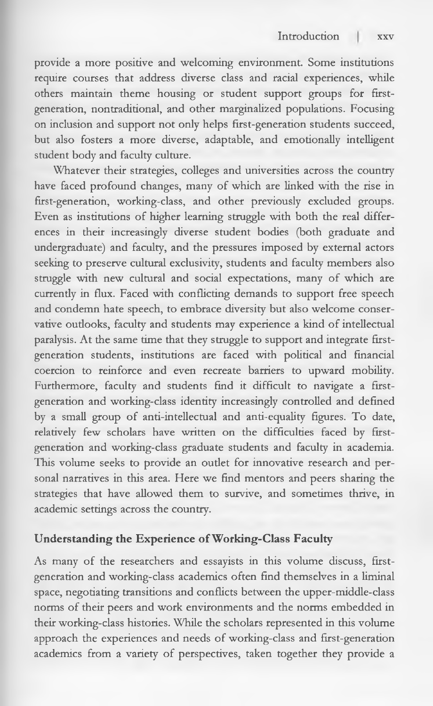provide a more positive and welcoming environment. Some institutions require courses that address diverse class and racial experiences, while others maintain theme housing or student support groups for firstgeneration, nontraditional, and other marginalized populations. Focusing on inclusion and support not only helps first-generation students succeed, but also fosters a more diverse, adaptable, and emotionally intelligent student body and faculty culture.

Whatever their strategies, colleges and universities across the country have faced profound changes, many of which are linked with the rise in first-generation, working-class, and other previously excluded groups. Even as institutions of higher learning struggle with both the real differences in their increasingly diverse student bodies (both graduate and undergraduate) and faculty, and the pressures imposed by external actors seeking to preserve cultural exclusivity, students and faculty members also struggle with new cultural and social expectations, many of which are currently in flux. Faced with conflicting demands to support free speech and condemn hate speech, to embrace diversity but also welcome conservative outlooks, faculty and students may experience a kind of intellectual paralysis. At the same time that they struggle to support and integrate firstgeneration students, institutions are faced with political and financial coercion to reinforce and even recreate barriers to upward mobility. Furthermore, faculty and students find it difficult to navigate a firstgeneration and working-class identity increasingly controlled and defined by a small group of anti-intellectual and anti-equality figures. To date, relatively few scholars have written on the difficulties faced by firstgeneration and working-class graduate students and faculty in academia. This volume seeks to provide an outlet for innovative research and personal narratives in this area. Here we find mentors and peers sharing the strategies that have allowed them to survive, and sometimes thrive, in academic settings across the country.

#### **Understanding the Experience ofWorking-Class Faculty**

As many of the researchers and essayists in this volume discuss, firstgeneration and working-class academics often find themselves in a liminal space, negotiating transitions and conflicts between the upper-middle-class norms of their peers and work environments and the norms embedded in their working-class histories. While the scholars represented in this volume approach the experiences and needs of working-class and first-generation academics from a variety of perspectives, taken together they provide a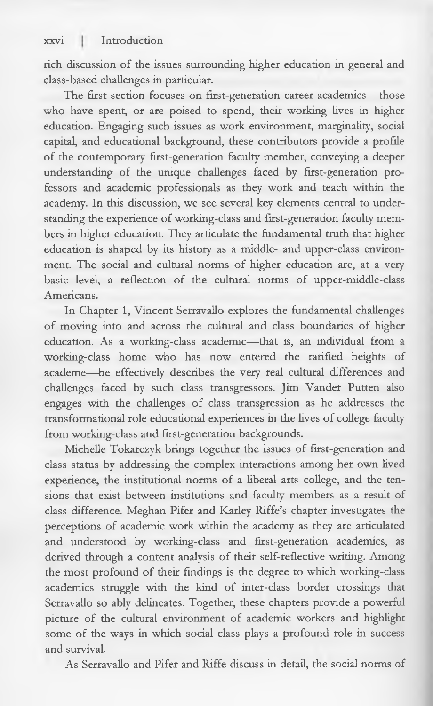#### xxvi Introduction

rich discussion of the issues surrounding higher education in general and class-based challenges in particular.

The first section focuses on first-generation career academics—those who have spent, or are poised to spend, their working lives in higher education. Engaging such issues as work environment, marginality, social capital, and educational background, these contributors provide a profile of the contemporary first-generation faculty member, conveying a deeper understanding of the unique challenges faced by first-generation professors and academic professionals as they work and teach within the academy. In this discussion, we see several key elements central to understanding the experience of working-class and first-generation faculty members in higher education. They articulate the fundamental truth that higher education is shaped by its history as a middle- and upper-class environment. The social and cultural norms of higher education are, at a very basic level, a reflection of the cultural norms of upper-middle-class Americans.

In Chapter 1, Vincent Serravallo explores the fundamental challenges of moving into and across the cultural and class boundaries of higher education. As a working-class academic—that is, an individual from a working-class home who has now entered the rarified heights of academe—he effectively describes the very real cultural differences and challenges faced by such class transgressors. Jim Vander Putten also engages with the challenges of class transgression as he addresses the transformational role educational experiences in the lives of college faculty from working-class and first-generation backgrounds.

Michelle Tokarczyk brings together the issues of first-generation and class status by addressing the complex interactions among her own lived experience, the institutional norms of a liberal arts college, and the tensions that exist between institutions and faculty members as a result of class difference. Meghan Pifer and Karley Riffe's chapter investigates the perceptions of academic work within the academy as they are articulated and understood by working-class and first-generation academics, as derived through a content analysis of their self-reflective writing. Among the most profound of their findings is the degree to which working-class academics struggle with the kind of inter-class border crossings that Serravallo so ably delineates. Together, these chapters provide a powerful picture of the cultural environment of academic workers and highlight some of the ways in which social class plays a profound role in success and survival.

As Serravallo and Pifer and Riffe discuss in detail, the social norms of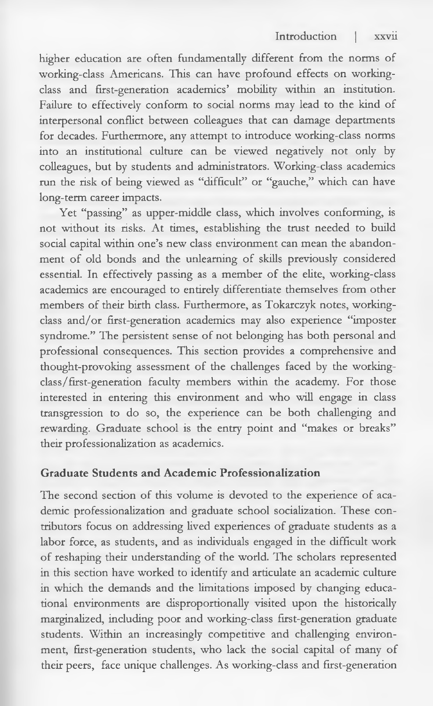higher education are often fundamentally different from the norms of working-class Americans. This can have profound effects on workingclass and first-generation academics' mobility within an institution. Failure to effectively conform to social norms may lead to the kind of interpersonal conflict between colleagues that can damage departments for decades. Furthermore, any attempt to introduce working-class norms into an institutional culture can be viewed negatively not only by colleagues, but by students and administrators. Working-class academics run the risk of being viewed as "difficult" or "gauche," which can have long-term career impacts.

Yet "passing" as upper-middle class, which involves conforming, is not without its risks. At times, establishing the trust needed to build social capital within one's new class environment can mean the abandonment of old bonds and the unlearning of skills previously considered essential. In effectively passing as a member of the elite, working-class academics are encouraged to entirely differentiate themselves from other members of their birth class. Furthermore, as Tokarczyk notes, workingclass and/or first-generation academics may also experience "imposter syndrome." The persistent sense of not belonging has both personal and professional consequences. This section provides a comprehensive and thought-provoking assessment of the challenges faced by the workingclass/first-generation faculty members within the academy. For those interested in entering this environment and who will engage in class transgression to do so, the experience can be both challenging and rewarding. Graduate school is the entry point and "makes or breaks" their professionalization as academics.

#### **Graduate Students and Academic Professionalization**

The second section of this volume is devoted to the experience of academic professionalization and graduate school socialization. These contributors focus on addressing lived experiences of graduate students as a labor force, as students, and as individuals engaged in the difficult work of reshaping their understanding of the world. The scholars represented in this section have worked to identify and articulate an academic culture in which the demands and the limitations imposed by changing educational environments are disproportionally visited upon the historically marginalized, including poor and working-class first-generation graduate students. Within an increasingly competitive and challenging environment, first-generation students, who lack the social capital of many of their peers, face unique challenges. As working-class and first-generation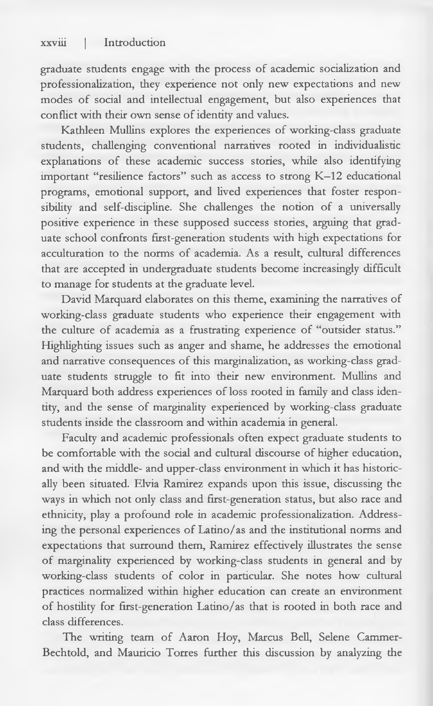#### xxviii <sup>|</sup> Introduction

graduate students engage with the process of academic socialization and professionalization, they experience not only new expectations and new modes of social and intellectual engagement, but also experiences that conflict with their own sense of identity and values.

Kathleen Mullins explores the experiences of working-class graduate students, challenging conventional narratives rooted in individualistic explanations of these academic success stories, while also identifying important "resilience factors" such as access to strong K—12 educational programs, emotional support, and lived experiences that foster responsibility and self-discipline. She challenges the notion of a universally positive experience in these supposed success stories, arguing that graduate school confronts first-generation students with high expectations for acculturation to the norms of academia. As a result, cultural differences that are accepted in undergraduate students become increasingly difficult to manage for students at the graduate level.

David Marquard elaborates on this theme, examining the narratives of working-class graduate students who experience their engagement with the culture of academia as a frustrating experience of "outsider status." Highlighting issues such as anger and shame, he addresses the emotional and narrative consequences of this marginalization, as working-class graduate students struggle to fit into their new environment. Mullins and Marquard both address experiences of loss rooted in family and class identity, and the sense of marginality experienced by working-class graduate students inside the classroom and within academia in general.

Faculty and academic professionals often expect graduate students to be comfortable with the social and cultural discourse of higher education, and with the middle- and upper-class environment in which it has historically been situated. Elvia Ramirez expands upon this issue, discussing the ways in which not only class and first-generation status, but also race and ethnicity, play a profound role in academic professionalization. Addressing the personal experiences of Latino/as and the institutional norms and expectations that surround them, Ramirez effectively illustrates the sense of marginality experienced by working-class students in general and by working-class students of color in particular. She notes how cultural practices normalized within higher education can create an environment of hostility for first-generation Latino/as that is rooted in both race and class differences.

The writing team of Aaron Hoy, Marcus Bell, Selene Cammer-Bechtold, and Mauricio Torres further this discussion by analyzing the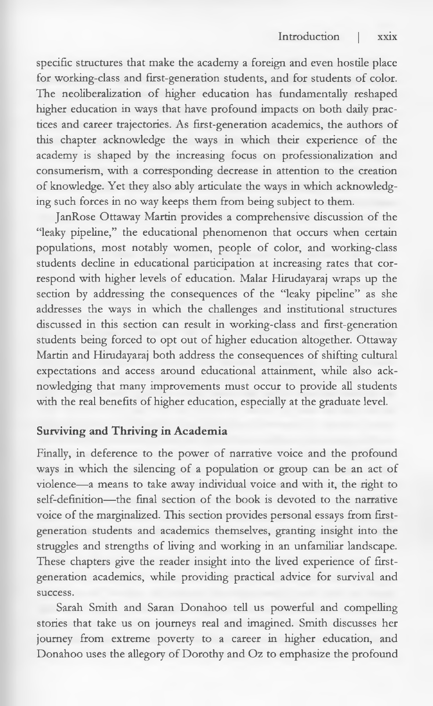specific structures that make the academy a foreign and even hostile place for working-class and first-generation students, and for students of color. The neoliberalization of higher education has fundamentally reshaped higher education in ways that have profound impacts on both daily practices and career trajectories. As first-generation academics, the authors of this chapter acknowledge the ways in which their experience of the academy is shaped by the increasing focus on professionalization and consumerism, with a corresponding decrease in attention to the creation of knowledge. Yet they also ably articulate the ways in which acknowledging such forces in no way keeps them from being subject to them.

JanRose Ottaway Martin provides a comprehensive discussion of the "leaky pipeline," the educational phenomenon that occurs when certain populations, most notably women, people of color, and working-class students decline in educational participation at increasing rates that correspond with higher levels of education. Malar Hirudayaraj wraps up the section by addressing the consequences of the "leaky pipeline" as she addresses the ways in which the challenges and institutional structures discussed in this section can result in working-class and first-generation students being forced to opt out of higher education altogether. Ottaway Martin and Hirudayaraj both address the consequences of shifting cultural expectations and access around educational attainment, while also acknowledging that many improvements must occur to provide all students with the real benefits of higher education, especially at the graduate level.

#### **Surviving and Thriving in Academia**

Finally, in deference to the power of narrative voice and the profound ways in which the silencing of a population or group can be an act of violence—a means to take away individual voice and with it, the right to self-definition—the final section of the book is devoted to the narrative voice of the marginalized. This section provides personal essays from firstgeneration students and academics themselves, granting insight into the struggles and strengths of living and working in an unfamiliar landscape. These chapters give the reader insight into the lived experience of firstgeneration academics, while providing practical advice for survival and success.

Sarah Smith and Saran Donahoo tell us powerful and compelling stories that take us on journeys real and imagined. Smith discusses her journey from extreme poverty to a career in higher education, and Donahoo uses the allegory of Dorothy and Oz to emphasize the profound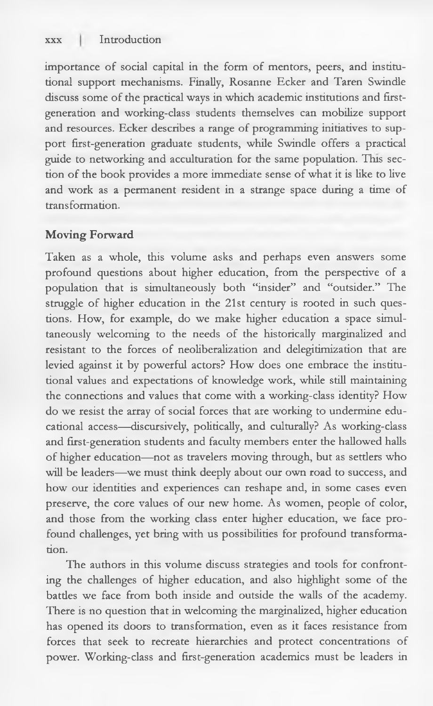#### **XXX** Introduction

importance of social capital in the form of mentors, peers, and institutional support mechanisms. Finally, Rosanne Ecker and Taren Swindle discuss some of the practical ways in which academic institutions and firstgeneration and working-class students themselves can mobilize support and resources. Ecker describes a range of programming initiatives to support first-generation graduate students, while Swindle offers a practical guide to networking and acculturation for the same population. This section of the book provides a more immediate sense of what it is like to live and work as a permanent resident in a strange space during a time of transformation.

#### **Moving Forward**

Taken as a whole, this volume asks and perhaps even answers some profound questions about higher education, from the perspective of a population that is simultaneously both "insider" and "outsider." The struggle of higher education in the 21st century is rooted in such questions. How, for example, do we make higher education a space simultaneously welcoming to the needs of the historically marginalized and resistant to the forces of neoliberalization and delegitimization that are levied against it by powerful actors? How does one embrace the institutional values and expectations of knowledge work, while still maintaining the connections and values that come with a working-class identity? How do we resist the array of social forces that are working to undermine educational access—discursively, politically, and culturally? As working-class and first-generation students and faculty members enter the hallowed halls of higher education—not as travelers moving through, but as setders who will be leaders—*we* must think deeply about our own road to success, and how our identities and experiences can reshape and, in some cases even preserve, the core values of our new home. As women, people of color, and those from the working class enter higher education, we face profound challenges, yet bring with us possibilities for profound transformation.

The authors in this volume discuss strategies and tools for confronting the challenges of higher education, and also highlight some of the battles we face from both inside and outside the walls of the academy. There is no question that in welcoming the marginalized, higher education has opened its doors to transformation, even as it faces resistance from forces that seek to recreate hierarchies and protect concentrations of power. Working-class and first-generation academics must be leaders in